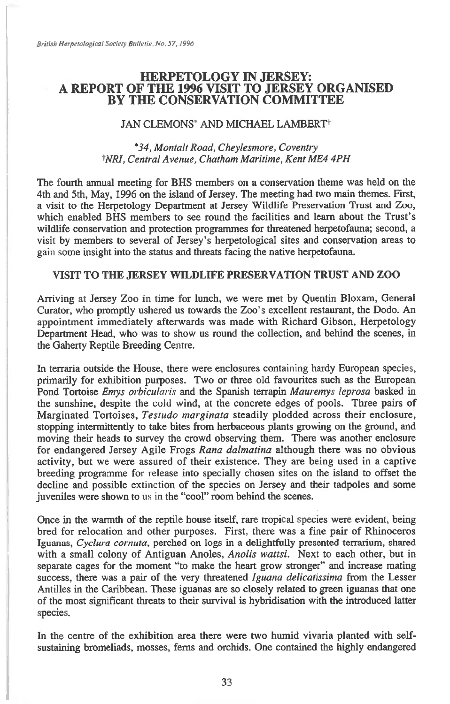# **HERPETOLOGY IN JERSEY: A REPORT OF THE 1996 VISIT TO JERSEY ORGANISED BY THE CONSERVATION COMMITTEE**

### JAN CLEMONS<sup>\*</sup> AND MICHAEL LAMBERT<sup>†</sup>

### *\*34, Montalt Road, Cheylesmore, Coventry NRI, Central Avenue, Chatham Maritime, Kent ME4 4PH*

The fourth annual meeting for BHS members on a conservation theme was held on the 4th and 5th, May, 1996 on the island of Jersey. The meeting had two main themes. First, a visit to the Herpetology Department at Jersey Wildlife Preservation Trust and Zoo, which enabled BHS members to see round the facilities and learn about the Trust's wildlife conservation and protection programmes for threatened herpetofauna; second, a visit by members to several of Jersey's herpetological sites and conservation areas to gain some insight into the status and threats facing the native herpetofauna.

## **VISIT TO THE JERSEY WILDLIFE PRESERVATION TRUST AND ZOO**

Arriving at Jersey Zoo in time for lunch, we were met by Quentin Bloxam, General Curator, who promptly ushered us towards the Zoo's excellent restaurant, the Dodo. An appointment immediately afterwards was made with Richard Gibson, Herpetology Department Head, who was to show us round the collection, and behind the scenes, in the Gaherty Reptile Breeding Centre.

In terraria outside the House, there were enclosures containing hardy European species, primarily for exhibition purposes. Two or three old favourites such as the European Pond Tortoise *Emys orbicularis* and the Spanish terrapin *Mauremys leprosa* basked in the sunshine, despite the cold wind, at the concrete edges of pools. Three pairs of Marginated Tortoises, *Testudo marginata* steadily plodded across their enclosure, stopping intermittently to take bites from herbaceous plants growing on the ground, and moving their heads to survey the crowd observing them. There was another enclosure for endangered Jersey Agile Frogs *Rana dalmatina* although there was no obvious activity, but we were assured of their existence. They are being used in a captive breeding programme for release into specially chosen sites on the island to offset the decline and possible extinction of the species on Jersey and their tadpoles and some juveniles were shown to us in the "cool" room behind the scenes.

Once in the warmth of the reptile house itself, rare tropical species were evident, being bred for relocation and other purposes. First, there was a fine pair of Rhinoceros Iguanas, *Cyclura cornuta*, perched on logs in a delightfully presented terrarium, shared with a small colony of Antiguan Anoles, *Anolis wattsi.* Next to each other, but in separate cages for the moment "to make the heart grow stronger" and increase mating success, there was a pair of the very threatened *Iguana delicatissima* from the Lesser Antilles in the Caribbean. These iguanas are so closely related to green iguanas that one of the most significant threats to their survival is hybridisation with the introduced latter species.

In the centre of the exhibition area there were two humid vivaria planted with selfsustaining bromeliads, mosses, ferns and orchids. One contained the highly endangered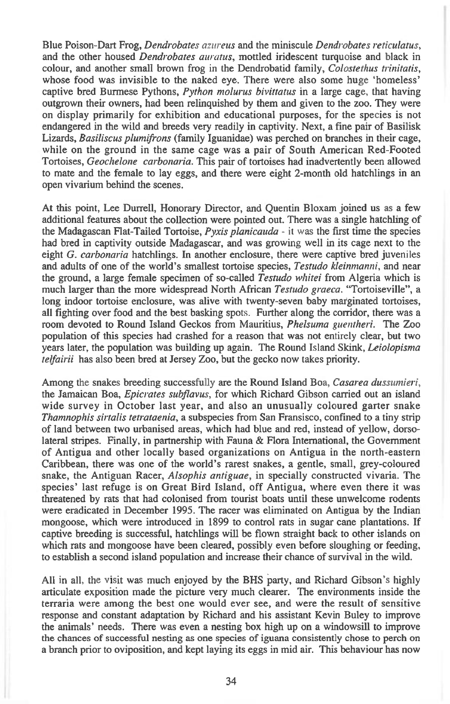Blue Poison-Dart Frog, *Dendrobates azureus* and the miniscule *Dendrobates reticulatus,*  and the other housed *Dendrobates auratus,* mottled iridescent turquoise and black in colour, and another small brown frog in the Dendrobatid family, *Colostethus trinitatis,*  whose food was invisible to the naked eye. There were also some huge 'homeless' captive bred Burmese Pythons, *Python molurus bivittatus in* a large cage, that having outgrown their owners, had been relinquished by them and given to the zoo. They were on display primarily for exhibition and educational purposes, for the species is not endangered in the wild and breeds very readily in captivity. Next, a fine pair of Basilisk Lizards, *Basiliscus plumifrons* (family Iguanidae) was perched on branches in their cage, while on the ground in the same cage was a pair of South American Red-Footed Tortoises, *Geochelone carbonaria.* This pair of tortoises had inadvertently been allowed to mate and the female to lay eggs, and there were eight 2-month old hatchlings in an open vivarium behind the scenes.

At this point, Lee Durrell, Honorary Director, and Quentin Bloxam joined us as a few additional features about the collection were pointed out. There was a single hatchling of the Madagascan Flat-Tailed Tortoise, *Pyxis planicauda - it* was the first time the species had bred in captivity outside Madagascar, and was growing well in its cage next to the eight *G. carbonaria* hatchlings. In another enclosure, there were captive bred juveniles and adults of one of the world's smallest tortoise species, *Testudo kleinmanni,* and near the ground, a large female specimen of so-called *Testudo whitei* from Algeria which is much larger than the more widespread North African *Testudo graeca.* "Tortoiseville", a long indoor tortoise enclosure, was alive with twenty-seven baby marginated tortoises, all fighting over food and the best basking spots. Further along the corridor, there was a room devoted to Round Island Geckos from Mauritius, *Phelsuma guentheri.* The Zoo population of this species had crashed for a reason that was not entirely clear, but two years later, the population was building up again. The Round Island Skink, *Leiolopisma telfairii* has also been bred at Jersey Zoo, but the gecko now takes priority.

Among the snakes breeding successfully are the Round Island Boa, *Casarea dussumieri*, the Jamaican Boa, *Epicrates subflavus,* for which Richard Gibson carried out an island wide survey in October last year, and also an unusually coloured garter snake *Thamnophis sirtalis tetrataenia,* a subspecies from San Fransisco, confined to a tiny strip of land between two urbanised areas, which had blue and red, instead of yellow, dorsolateral stripes. Finally, in partnership with Fauna & Flora International, the Government of Antigua and other locally based organizations on Antigua in the north-eastern Caribbean, there was one of the world's rarest snakes, a gentle, small, grey-coloured snake, the Antiguan Racer, *Alsophis antiguae,* in specially constructed vivaria. The species' last refuge is on Great Bird Island, off Antigua, where even there it was threatened by rats that had colonised from tourist boats until these unwelcome rodents were eradicated in December 1995. The racer was eliminated on Antigua by the Indian mongoose, which were introduced in 1899 to control rats in sugar cane plantations. If captive breeding is successful, hatchlings will be flown straight back to other islands on which rats and mongoose have been cleared, possibly even before sloughing or feeding, to establish a second island population and increase their chance of survival in the wild.

All in all, the visit was much enjoyed by the BHS party, and Richard Gibson's highly articulate exposition made the picture very much clearer. The environments inside the terraria were among the best one would ever see, and were the result of sensitive response and constant adaptation by Richard and his assistant Kevin Buley to improve the animals' needs. There was even a nesting box high up on a windowsill to improve the chances of successful nesting as one species of iguana consistently chose to perch on a branch prior to oviposition, and kept laying its eggs in mid air. This behaviour has now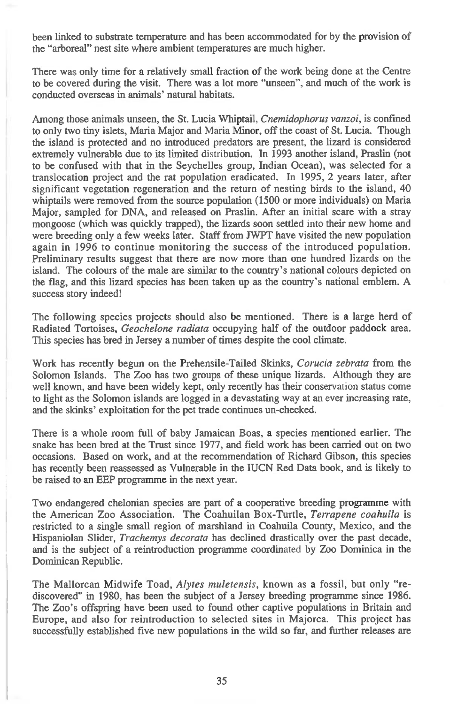been linked to substrate temperature and has been accommodated for by the provision of the "arboreal" nest site where ambient temperatures are much higher.

There was only time for a relatively small fraction of the work being done at the Centre to be covered during the visit. There was a lot more "unseen", and much of the work is conducted overseas in animals' natural habitats.

Among those animals unseen, the St. Lucia Whiptail, *Cnemidophorus vanzoi,* is confined to only two tiny islets, Maria Major and Maria Minor, off the coast of St. Lucia. Though the island is protected and no introduced predators are present, the lizard is considered extremely vulnerable due to its limited distribution. In 1993 another island, Praslin (not to be confused with that in the Seychelles group, Indian Ocean), was selected for a translocation project and the rat population eradicated. In 1995, 2 years later, after significant vegetation regeneration and the return of nesting birds to the island, 40 whiptails were removed from the source population (1500 or more individuals) on Maria Major, sampled for DNA, and released on Praslin. After an initial scare with a stray mongoose (which was quickly trapped), the lizards soon settled into their new home and were breeding only a few weeks later. Staff from JWPT have visited the new population again in 1996 to continue monitoring the success of the introduced population. Preliminary results suggest that there are now more than one hundred lizards on the island. The colours of the male are similar to the country's national colours depicted on the flag, and this lizard species has been taken up as the country's national emblem. A success story indeed!

The following species projects should also be mentioned. There is a large herd of Radiated Tortoises, *Geochelone radiata* occupying half of the outdoor paddock area. This species has bred in Jersey a number of times despite the cool climate.

Work has recently begun on the Prehensile-Tailed Skinks, *Corucia zebrata* from the Solomon Islands. The Zoo has two groups of these unique lizards. Although they are well known, and have been widely kept, only recently has their conservation status come to light as the Solomon islands are logged in a devastating way at an ever increasing rate, and the skinks' exploitation for the pet trade continues un-checked.

There is a whole room full of baby Jamaican Boas, a species mentioned earlier. The snake has been bred at the Trust since 1977, and field work has been carried out on two occasions. Based on work, and at the recommendation of Richard Gibson, this species has recently been reassessed as Vulnerable in the IUCN Red Data book, and is likely to be raised to an EEP programme in the next year.

Two endangered chelonian species are part of a cooperative breeding programme with the American Zoo Association. The Coahuilan Box-Turtle, *Terrapene coahuila* is restricted to a single small region of marshland in Coahuila County, Mexico, and the Hispaniolan Slider, *Trachemys decorata* has declined drastically over the past decade, and is the subject of a reintroduction programme coordinated by Zoo Dominica in the Dominican Republic.

The Mallorcan Midwife Toad, *Alytes muletensis,* known as a fossil, but only "rediscovered" in 1980, has been the subject of a Jersey breeding programme since 1986. The Zoo's offspring have been used to found other captive populations in Britain and Europe, and also for reintroduction to selected sites in Majorca. This project has successfully established five new populations in the wild so far, and further releases are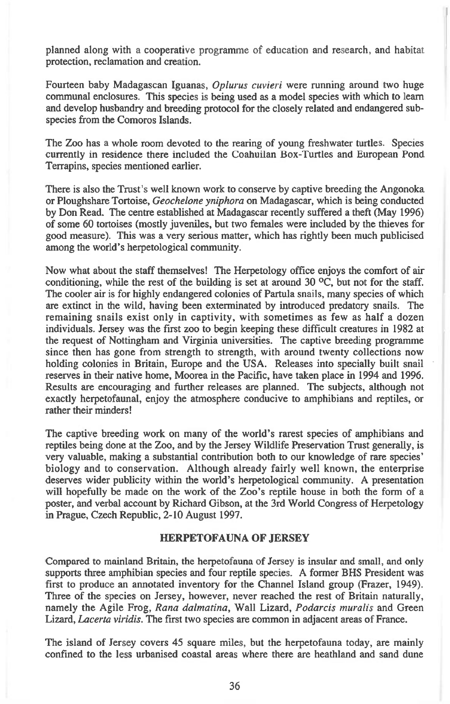planned along with a cooperative programme of education and research, and habitat protection, reclamation and creation.

Fourteen baby Madagascan Iguanas, *Oplurus cuvieri* were running around two huge communal enclosures. This species is being used as a model species with which to learn and develop husbandry and breeding protocol for the closely related and endangered subspecies from the Comoros Islands.

The Zoo has a whole room devoted to the rearing of young freshwater turtles. Species currently in residence there included the Coahuilan Box-Turtles and European Pond Terrapins, species mentioned earlier.

There is also the Trust's well known work to conserve by captive breeding the Angonoka or Ploughshare Tortoise, *Geochelone yniphora* on Madagascar, which is being conducted by Don Read. The centre established at Madagascar recently suffered a theft (May 1996) of some 60 tortoises (mostly juveniles, but two females were included by the thieves for good measure). This was a very serious matter, which has rightly been much publicised among the world's herpetological community.

Now what about the staff themselves! The Herpetology office enjoys the comfort of air conditioning, while the rest of the building is set at around 30 °C, but not for the staff. The cooler air is for highly endangered colonies of Partula snails, many species of which are extinct in the wild, having been exterminated by introduced predatory snails. The remaining snails exist only in captivity, with sometimes as few as half a dozen individuals. Jersey was the first zoo to begin keeping these difficult creatures in 1982 at the request of Nottingham and Virginia universities. The captive breeding programme since then has gone from strength to strength, with around twenty collections now holding colonies in Britain, Europe and the USA. Releases into specially built snail reserves in their native home, Moorea in the Pacific, have taken place in 1994 and 1996. Results are encouraging and further releases are planned. The subjects, although not exactly herpetofaunal, enjoy the atmosphere conducive to amphibians and reptiles, or rather their minders!

The captive breeding work on many of the world's rarest species of amphibians and reptiles being done at the Zoo, and by the Jersey Wildlife Preservation Trust generally, is very valuable, making a substantial contribution both to our knowledge of rare species' biology and to conservation. Although already fairly well known, the enterprise deserves wider publicity within the world's herpetological community. A presentation will hopefully be made on the work of the Zoo's reptile house in both the form of a poster, and verbal account by Richard Gibson, at the 3rd World Congress of Herpetology in Prague, Czech Republic, 2-10 August 1997.

### **HERPETOFAUNA OF JERSEY**

Compared to mainland Britain, the herpetofauna of Jersey is insular and small, and only supports three amphibian species and four reptile species. A former BHS President was first to produce an annotated inventory for the Channel Island group (Frazer, 1949). Three of the species on Jersey, however, never reached the rest of Britain naturally, namely the Agile Frog, *Rana dalmatina,* Wall Lizard, *Podarcis muralis* and Green Lizard, *Lacerta viridis.* The first two species are common in adjacent areas of France.

The island of Jersey covers 45 square miles, but the herpetofauna today, are mainly confined to the less urbanised coastal areas where there are heathland and sand dune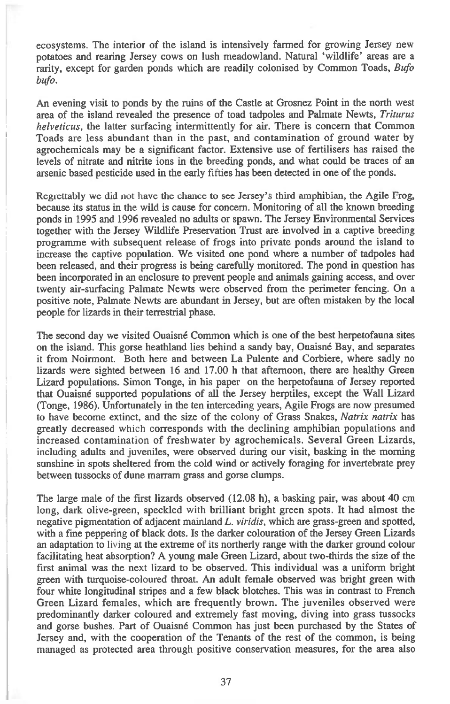ecosystems. The interior of the island is intensively farmed for growing Jersey new potatoes and rearing Jersey cows on lush meadowland. Natural 'wildlife' areas are a rarity, except for garden ponds which are readily colonised by Common Toads, *Bufo bufo.* 

An evening visit to ponds by the ruins of the Castle at Grosnez Point in the north west area of the island revealed the presence of toad tadpoles and Palmate Newts, *Triturus helveticus,* the latter surfacing intermittently for air. There is concern that Common Toads are less abundant than in the past, and contamination of ground water by agrochemicals may be a significant factor. Extensive use of fertilisers has raised the levels of nitrate and nitrite ions in the breeding ponds, and what could be traces of an arsenic based pesticide used in the early fifties has been detected in one of the ponds.

Regrettably we did not have the chance to see Jersey's third amphibian, the Agile Frog, because its status in *the* wild is cause for concern. Monitoring of all the known breeding ponds in 1995 and 1996 revealed no adults or spawn. The Jersey Environmental Services together with the Jersey Wildlife Preservation Trust are involved in a captive breeding programme with subsequent release of frogs into private ponds around the island to increase the captive population. We visited one pond where a number of tadpoles had been released, and their progress is being carefully monitored. The pond in question has been incorporated in an enclosure to prevent people and animals gaining access, and over twenty air-surfacing Palmate Newts were observed from the perimeter fencing. On a positive note, Palmate Newts are abundant in Jersey, but are often mistaken by the local people for lizards in their terrestrial phase.

The second day we visited Ouaisne Common which is one of the best herpetofauna sites on the island. This gorse heathland lies behind a sandy bay, Ouaisne Bay, and separates it from Noirmont. Both here and between La Pulente and Corbiere, where sadly no lizards were sighted between 16 and 17.00 h that afternoon, there are healthy Green Lizard populations. Simon Tonge, in his paper on the herpetofauna of Jersey reported that Ouaisne supported populations of all the Jersey herptiles, except the Wall Lizard (Tonge, 1986). Unfortunately in the ten interceding years, Agile Frogs are now presumed to have become extinct, and the size of the colony of Grass Snakes, *Natrix natrix* has greatly decreased which corresponds with the declining amphibian populations and increased contamination of freshwater by agrochemicals. Several Green Lizards, including adults and juveniles, were observed during our visit, basking in the morning sunshine in spots sheltered from the cold wind or actively foraging for invertebrate prey between tussocks of dune marram grass and gorse clumps.

The large male of the first lizards observed (12.08 h), a basking pair, was about 40 cm long, dark olive-green, speckled with brilliant bright green spots. It had almost the negative pigmentation of adjacent mainland *L. viridis,* which are grass-green and spotted, with a fine peppering of black dots. Is the darker colouration of the Jersey Green Lizards an adaptation to living at the extreme of its northerly range with the darker ground colour facilitating heat absorption? A young male Green Lizard, about two-thirds the size of the first animal was the next lizard to be observed. This individual was a uniform bright green with turquoise-coloured throat. An adult female observed was bright green with four white longitudinal stripes and a few black blotches. This was in contrast to French Green Lizard females, which are frequently brown. The juveniles observed were predominantly darker coloured and extremely fast moving, diving into grass tussocks and gorse bushes. Part of Ouaisne Common has just been purchased by the States of Jersey and, with the cooperation of the Tenants of the rest of the common, is being managed as protected area through positive conservation measures, for the area also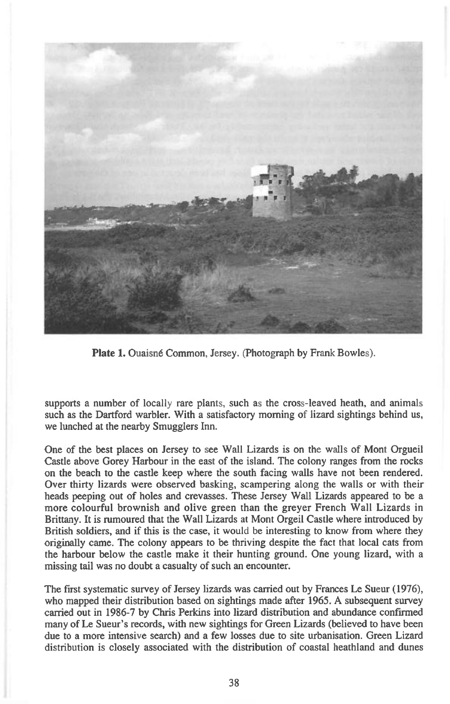

Plate 1. Ouaisné Common, Jersey. (Photograph by Frank Bowles).

supports a number of locally rare plants, such as the cross-leaved heath, and animals such as the Dartford warbler. With a satisfactory morning of lizard sightings behind us, we lunched at the nearby Smugglers Inn.

One of the best places on Jersey to see Wall Lizards is on the walls of Mont Orgueil Castle above Gorey Harbour in the east of the island. The colony ranges from the rocks on the beach to the castle keep where the south facing walls have not been rendered. Over thirty lizards were observed basking, scampering along the walls or with their heads peeping out of holes and crevasses. These Jersey Wall Lizards appeared to be a more colourful brownish and olive green than the greyer French Wall Lizards in Brittany. It is rumoured that the Wall Lizards at Mont Orgeil Castle where introduced by British soldiers, and if this is the case, it would be interesting to know from where they originally came. The colony appears to be thriving despite the fact that local cats from the harbour below the castle make it their hunting ground. One young lizard, with a missing tail was no doubt a casualty of such an encounter.

The first systematic survey of Jersey lizards was carried out by Frances Le Sueur (1976), who mapped their distribution based on sightings made after 1965. A subsequent survey carried out in 1986-7 by Chris Perkins into lizard distribution and abundance confirmed many of Le Sueur's records, with new sightings for Green Lizards (believed to have been due to a more intensive search) and a few losses due to site urbanisation. Green Lizard distribution is closely associated with the distribution of coastal heathland and dunes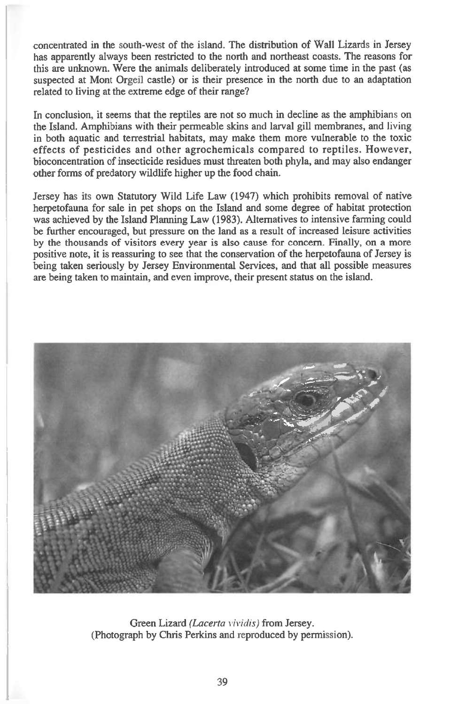concentrated in the south-west of the island. The distribution of Wall Lizards in Jersey has apparently always been restricted to the north and northeast coasts. The reasons for this are unknown. Were the animals deliberately introduced at some time in the past (as suspected at Mont Orgeil castle) or is their presence in the north due to an adaptation related to living at the extreme edge of their range?

In conclusion, it seems that the reptiles are not so much in decline as the amphibians on the Island. Amphibians with their permeable skins and larval gill membranes, and living in both aquatic and terrestrial habitats, may make them more vulnerable to the toxic effects of pesticides and other agrochemicals compared to reptiles. However, bioconcentration of insecticide residues must threaten both phyla, and may also endanger other forms of predatory wildlife higher up the food chain.

Jersey has its own Statutory Wild Life Law (1947) which prohibits removal of native herpetofauna for sale in pet shops on the Island and some degree of habitat protection was achieved by the Island Planning Law (1983). Alternatives to intensive farming could be further encouraged, but pressure on the land as a result of increased leisure activities by the thousands of visitors every year is also cause for concern. Finally, on a more positive note, it is reassuring to see that the conservation of the herpetofauna of Jersey is being taken seriously by Jersey Environmental Services, and that all possible measures are being taken to maintain, and even improve, their present status on the island.



Green Lizard *(Lacerta i'ividis)* from Jersey. (Photograph by Chris Perkins and reproduced by permission).